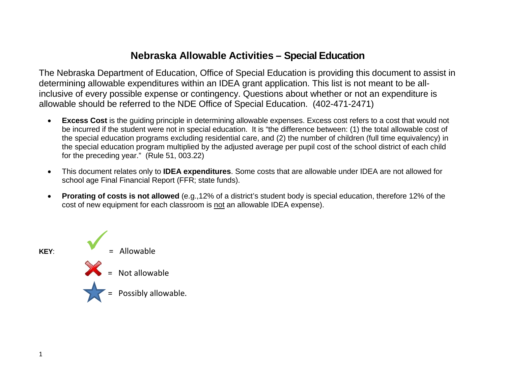## **Nebraska Allowable Activities – Special Education**

The Nebraska Department of Education, Office of Special Education is providing this document to assist in determining allowable expenditures within an IDEA grant application. This list is not meant to be allinclusive of every possible expense or contingency. Questions about whether or not an expenditure is allowable should be referred to the NDE Office of Special Education. (402-471-2471)

- **Excess Cost** is the guiding principle in determining allowable expenses. Excess cost refers to a cost that would not be incurred if the student were not in special education. It is "the difference between: (1) the total allowable cost of the special education programs excluding residential care, and (2) the number of children (full time equivalency) in the special education program multiplied by the adjusted average per pupil cost of the school district of each child for the preceding year." (Rule 51, 003.22)
- This document relates only to **IDEA expenditures**. Some costs that are allowable under IDEA are not allowed for school age Final Financial Report (FFR; state funds).
- **Prorating of costs is not allowed** (e.g.,12% of a district's student body is special education, therefore 12% of the cost of new equipment for each classroom is not an allowable IDEA expense).

**KEY**:

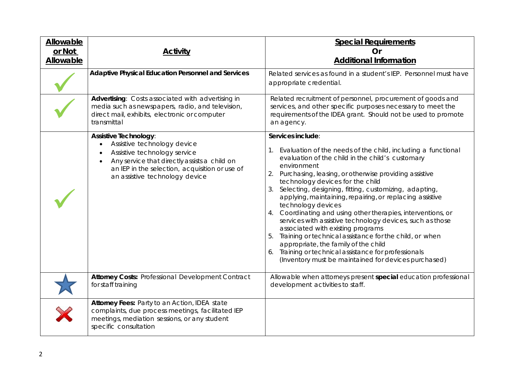| <b>Allowable</b><br>or Not<br>Allowable | <b>Activity</b>                                                                                                                                                                                                                                                 | <b>Special Requirements</b><br>Or<br><b>Additional Information</b>                                                                                                                                                                                                                                                                                                                                                                                                                                                                                                                                                                                                                                                                                                                             |
|-----------------------------------------|-----------------------------------------------------------------------------------------------------------------------------------------------------------------------------------------------------------------------------------------------------------------|------------------------------------------------------------------------------------------------------------------------------------------------------------------------------------------------------------------------------------------------------------------------------------------------------------------------------------------------------------------------------------------------------------------------------------------------------------------------------------------------------------------------------------------------------------------------------------------------------------------------------------------------------------------------------------------------------------------------------------------------------------------------------------------------|
|                                         | Adaptive Physical Education Personnel and Services                                                                                                                                                                                                              | Related services as found in a student's IEP. Personnel must have<br>appropriate credential.                                                                                                                                                                                                                                                                                                                                                                                                                                                                                                                                                                                                                                                                                                   |
|                                         | Advertising: Costs associated with advertising in<br>media such as newspapers, radio, and television,<br>direct mail, exhibits, electronic or computer<br>transmittal                                                                                           | Related recruitment of personnel, procurement of goods and<br>services, and other specific purposes necessary to meet the<br>requirements of the IDEA grant. Should not be used to promote<br>an agency.                                                                                                                                                                                                                                                                                                                                                                                                                                                                                                                                                                                       |
|                                         | Assistive Technology:<br>Assistive technology device<br>$\bullet$<br>Assistive technology service<br>$\bullet$<br>Any service that directly assists a child on<br>$\bullet$<br>an IEP in the selection, acquisition or use of<br>an assistive technology device | Services include:<br>1. Evaluation of the needs of the child, including a functional<br>evaluation of the child in the child's customary<br>environment<br>2. Purchasing, leasing, or otherwise providing assistive<br>technology devices for the child<br>3. Selecting, designing, fitting, customizing, adapting,<br>applying, maintaining, repairing, or replacing assistive<br>technology devices<br>4. Coordinating and using other therapies, interventions, or<br>services with assistive technology devices, such as those<br>associated with existing programs<br>5. Training or technical assistance for the child, or when<br>appropriate, the family of the child<br>6. Training or technical assistance for professionals<br>(Inventory must be maintained for devices purchased) |
|                                         | <b>Attorney Costs: Professional Development Contract</b><br>for staff training                                                                                                                                                                                  | Allowable when attorneys present special education professional<br>development activities to staff.                                                                                                                                                                                                                                                                                                                                                                                                                                                                                                                                                                                                                                                                                            |
|                                         | Attorney Fees: Party to an Action, IDEA state<br>complaints, due process meetings, facilitated IEP<br>meetings, mediation sessions, or any student<br>specific consultation                                                                                     |                                                                                                                                                                                                                                                                                                                                                                                                                                                                                                                                                                                                                                                                                                                                                                                                |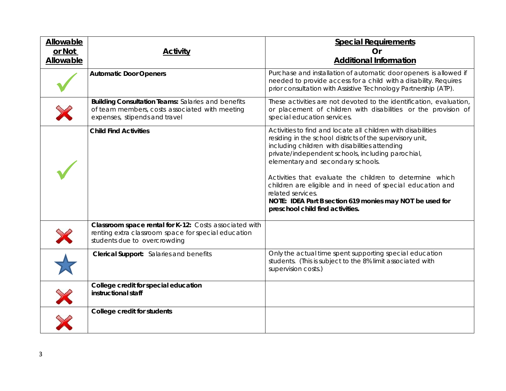| Allowable<br>or Not | <b>Activity</b>                                                                                                                               | <b>Special Requirements</b><br>Or                                                                                                                                                                                                                                                                                                                                                                                                                                                                                    |
|---------------------|-----------------------------------------------------------------------------------------------------------------------------------------------|----------------------------------------------------------------------------------------------------------------------------------------------------------------------------------------------------------------------------------------------------------------------------------------------------------------------------------------------------------------------------------------------------------------------------------------------------------------------------------------------------------------------|
| <b>Allowable</b>    |                                                                                                                                               | <b>Additional Information</b>                                                                                                                                                                                                                                                                                                                                                                                                                                                                                        |
|                     | <b>Automatic Door Openers</b>                                                                                                                 | Purchase and installation of automatic door openers is allowed if<br>needed to provide access for a child with a disability. Requires<br>prior consultation with Assistive Technology Partnership (ATP).                                                                                                                                                                                                                                                                                                             |
|                     | <b>Building Consultation Teams: Salaries and benefits</b><br>of team members, costs associated with meeting<br>expenses, stipends and travel  | These activities are not devoted to the identification, evaluation,<br>or placement of children with disabilities or the provision of<br>special education services.                                                                                                                                                                                                                                                                                                                                                 |
|                     | <b>Child Find Activities</b>                                                                                                                  | Activities to find and locate all children with disabilities<br>residing in the school districts of the supervisory unit,<br>including children with disabilities attending<br>private/independent schools, including parochial,<br>elementary and secondary schools.<br>Activities that evaluate the children to determine which<br>children are eligible and in need of special education and<br>related services.<br>NOTE: IDEA Part B section 619 monies may NOT be used for<br>preschool child find activities. |
|                     | Classroom space rental for K-12: Costs associated with<br>renting extra classroom space for special education<br>students due to overcrowding |                                                                                                                                                                                                                                                                                                                                                                                                                                                                                                                      |
|                     | Clerical Support: Salaries and benefits                                                                                                       | Only the actual time spent supporting special education<br>students. (This is subject to the 8% limit associated with<br>supervision costs.)                                                                                                                                                                                                                                                                                                                                                                         |
| X                   | College credit for special education<br>instructional staff                                                                                   |                                                                                                                                                                                                                                                                                                                                                                                                                                                                                                                      |
|                     | College credit for students                                                                                                                   |                                                                                                                                                                                                                                                                                                                                                                                                                                                                                                                      |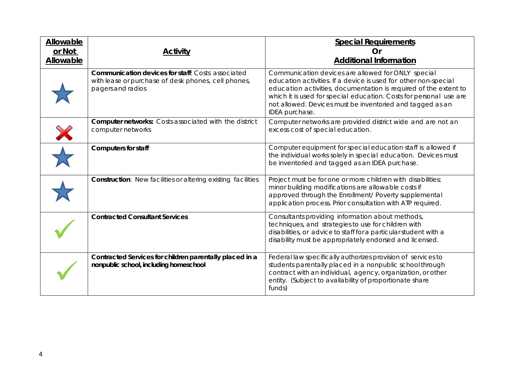| Allowable<br>or Not<br><b>Allowable</b> | <b>Activity</b>                                                                                                                      | <b>Special Requirements</b><br>Or<br><b>Additional Information</b>                                                                                                                                                                                                                                                                             |
|-----------------------------------------|--------------------------------------------------------------------------------------------------------------------------------------|------------------------------------------------------------------------------------------------------------------------------------------------------------------------------------------------------------------------------------------------------------------------------------------------------------------------------------------------|
|                                         | <b>Communication devices for staff: Costs associated</b><br>with lease or purchase of desk phones, cell phones,<br>pagers and radios | Communication devices are allowed for ONLY special<br>education activities. If a device is used for other non-special<br>education activities, documentation is required of the extent to<br>which it is used for special education. Costs for personal use are<br>not allowed. Devices must be inventoried and tagged as an<br>IDEA purchase. |
|                                         | <b>Computer networks:</b> Costs associated with the district<br>computer networks                                                    | Computer networks are provided district wide and are not an<br>excess cost of special education.                                                                                                                                                                                                                                               |
|                                         | <b>Computers for staff</b>                                                                                                           | Computer equipment for special education staff is allowed if<br>the individual works solely in special education. Devices must<br>be inventoried and tagged as an IDEA purchase.                                                                                                                                                               |
|                                         | <b>Construction:</b> New facilities or altering existing facilities                                                                  | Project must be for one or more children with disabilities;<br>minor building modifications are allowable costs if<br>approved through the Enrollment/ Poverty supplemental<br>application process. Prior consultation with ATP required.                                                                                                      |
|                                         | <b>Contracted Consultant Services</b>                                                                                                | Consultants providing information about methods,<br>techniques, and strategies to use for children with<br>disabilities, or advice to staff for a particular student with a<br>disability must be appropriately endorsed and licensed.                                                                                                         |
|                                         | Contracted Services for children parentally placed in a<br>nonpublic school, including homeschool                                    | Federal law specifically authorizes provision of services to<br>students parentally placed in a nonpublic school through<br>contract with an individual, agency, organization, or other<br>entity. (Subject to availability of proportionate share<br>funds)                                                                                   |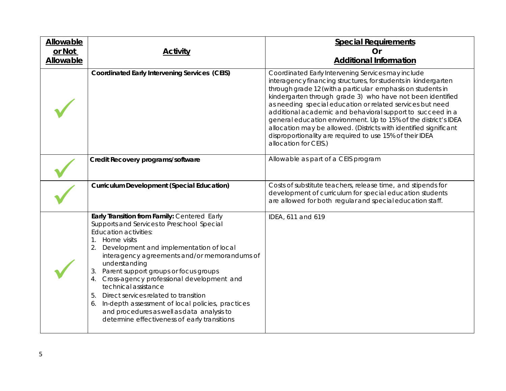| Allowable<br>or Not<br>Allowable | <b>Activity</b>                                                                                                                                                                                                                                                                                                                                                                                                                                                                                                                                                                                    | <b>Special Requirements</b><br>Or<br><b>Additional Information</b>                                                                                                                                                                                                                                                                                                                                                                                                                                                                                                                                        |
|----------------------------------|----------------------------------------------------------------------------------------------------------------------------------------------------------------------------------------------------------------------------------------------------------------------------------------------------------------------------------------------------------------------------------------------------------------------------------------------------------------------------------------------------------------------------------------------------------------------------------------------------|-----------------------------------------------------------------------------------------------------------------------------------------------------------------------------------------------------------------------------------------------------------------------------------------------------------------------------------------------------------------------------------------------------------------------------------------------------------------------------------------------------------------------------------------------------------------------------------------------------------|
|                                  | <b>Coordinated Early Intervening Services (CEIS)</b>                                                                                                                                                                                                                                                                                                                                                                                                                                                                                                                                               | Coordinated Early Intervening Services may include<br>interagency financing structures, for students in kindergarten<br>through grade 12 (with a particular emphasis on students in<br>kindergarten through grade 3) who have not been identified<br>as needing special education or related services but need<br>additional academic and behavioral support to succeed in a<br>general education environment. Up to 15% of the district's IDEA<br>allocation may be allowed. (Districts with identified significant<br>disproportionality are required to use 15% of their IDEA<br>allocation for CEIS.) |
|                                  | Credit Recovery programs/software                                                                                                                                                                                                                                                                                                                                                                                                                                                                                                                                                                  | Allowable as part of a CEIS program                                                                                                                                                                                                                                                                                                                                                                                                                                                                                                                                                                       |
|                                  | <b>Curriculum Development (Special Education)</b>                                                                                                                                                                                                                                                                                                                                                                                                                                                                                                                                                  | Costs of substitute teachers, release time, and stipends for<br>development of curriculum for special education students<br>are allowed for both regular and special education staff.                                                                                                                                                                                                                                                                                                                                                                                                                     |
|                                  | Early Transition from Family: Centered Early<br>Supports and Services to Preschool Special<br><b>Education activities:</b><br>Home visits<br>1.<br>Development and implementation of local<br>2.<br>interagency agreements and/or memorandums of<br>understanding<br>Parent support groups or focus groups<br>3.<br>Cross-agency professional development and<br>4.<br>technical assistance<br>Direct services related to transition<br>5.<br>In-depth assessment of local policies, practices<br>6.<br>and procedures as well as data analysis to<br>determine effectiveness of early transitions | IDEA, 611 and 619                                                                                                                                                                                                                                                                                                                                                                                                                                                                                                                                                                                         |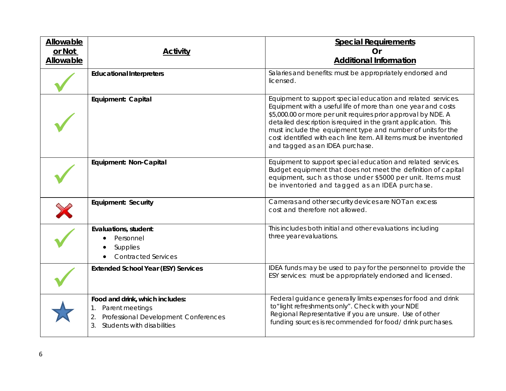| Allowable<br>or Not<br>Allowable | <u>Activity</u>                                                                                                                      | <b>Special Requirements</b><br>Or<br><b>Additional Information</b>                                                                                                                                                                                                                                                                                                                                                                       |
|----------------------------------|--------------------------------------------------------------------------------------------------------------------------------------|------------------------------------------------------------------------------------------------------------------------------------------------------------------------------------------------------------------------------------------------------------------------------------------------------------------------------------------------------------------------------------------------------------------------------------------|
|                                  | <b>Educational Interpreters</b>                                                                                                      | Salaries and benefits: must be appropriately endorsed and<br>licensed.                                                                                                                                                                                                                                                                                                                                                                   |
|                                  | Equipment: Capital                                                                                                                   | Equipment to support special education and related services.<br>Equipment with a useful life of more than one year and costs<br>\$5,000.00 or more per unit requires prior approval by NDE. A<br>detailed description is required in the grant application. This<br>must include the equipment type and number of units for the<br>cost identified with each line item. All items must be inventoried<br>and tagged as an IDEA purchase. |
|                                  | Equipment: Non-Capital                                                                                                               | Equipment to support special education and related services.<br>Budget equipment that does not meet the definition of capital<br>equipment, such as those under \$5000 per unit. Items must<br>be inventoried and tagged as an IDEA purchase.                                                                                                                                                                                            |
|                                  | <b>Equipment: Security</b>                                                                                                           | Cameras and other security devices are NOT an excess<br>cost and therefore not allowed.                                                                                                                                                                                                                                                                                                                                                  |
|                                  | Evaluations, student:<br>Personnel<br><b>Supplies</b><br><b>Contracted Services</b>                                                  | This includes both initial and other evaluations including<br>three year evaluations.                                                                                                                                                                                                                                                                                                                                                    |
|                                  | <b>Extended School Year (ESY) Services</b>                                                                                           | IDEA funds may be used to pay for the personnel to provide the<br>ESY services: must be appropriately endorsed and licensed.                                                                                                                                                                                                                                                                                                             |
|                                  | Food and drink, which includes:<br>Parent meetings<br>2.<br>Professional Development Conferences<br>3.<br>Students with disabilities | Federal guidance generally limits expenses for food and drink<br>to"light refreshments only". Check with your NDE<br>Regional Representative if you are unsure. Use of other<br>funding sources is recommended for food/drink purchases.                                                                                                                                                                                                 |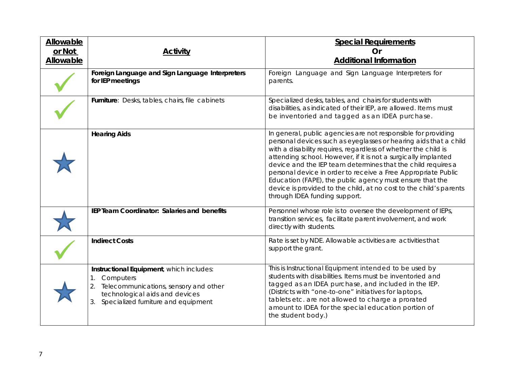| Allowable<br>or Not | <b>Activity</b>                                                                                                                                                                           | <b>Special Requirements</b><br>Or                                                                                                                                                                                                                                                                                                                                                                                                                                                                                                                                         |
|---------------------|-------------------------------------------------------------------------------------------------------------------------------------------------------------------------------------------|---------------------------------------------------------------------------------------------------------------------------------------------------------------------------------------------------------------------------------------------------------------------------------------------------------------------------------------------------------------------------------------------------------------------------------------------------------------------------------------------------------------------------------------------------------------------------|
| <b>Allowable</b>    |                                                                                                                                                                                           | <b>Additional Information</b>                                                                                                                                                                                                                                                                                                                                                                                                                                                                                                                                             |
|                     | Foreign Language and Sign Language Interpreters<br>for IEP meetings                                                                                                                       | Foreign Language and Sign Language Interpreters for<br>parents.                                                                                                                                                                                                                                                                                                                                                                                                                                                                                                           |
|                     | Furniture: Desks, tables, chairs, file cabinets                                                                                                                                           | Specialized desks, tables, and chairs for students with<br>disabilities, as indicated of their IEP, are allowed. Items must<br>be inventoried and tagged as an IDEA purchase.                                                                                                                                                                                                                                                                                                                                                                                             |
|                     | <b>Hearing Aids</b>                                                                                                                                                                       | In general, public agencies are not responsible for providing<br>personal devices such as eyeglasses or hearing aids that a child<br>with a disability requires, regardless of whether the child is<br>attending school. However, if it is not a surgically implanted<br>device and the IEP team determines that the child requires a<br>personal device in order to receive a Free Appropriate Public<br>Education (FAPE), the public agency must ensure that the<br>device is provided to the child, at no cost to the child's parents<br>through IDEA funding support. |
|                     | IEP Team Coordinator: Salaries and benefits                                                                                                                                               | Personnel whose role is to oversee the development of IEPs,<br>transition services, facilitate parent involvement, and work<br>directly with students.                                                                                                                                                                                                                                                                                                                                                                                                                    |
|                     | <b>Indirect Costs</b>                                                                                                                                                                     | Rate is set by NDE. Allowable activities are activities that<br>support the grant.                                                                                                                                                                                                                                                                                                                                                                                                                                                                                        |
|                     | Instructional Equipment, which includes:<br>Computers<br>1.<br>Telecommunications, sensory and other<br>2.<br>technological aids and devices<br>Specialized furniture and equipment<br>3. | This is Instructional Equipment intended to be used by<br>students with disabilities. Items must be inventoried and<br>tagged as an IDEA purchase, and included in the IEP.<br>(Districts with "one-to-one" initiatives for laptops,<br>tablets etc. are not allowed to charge a prorated<br>amount to IDEA for the special education portion of<br>the student body.)                                                                                                                                                                                                    |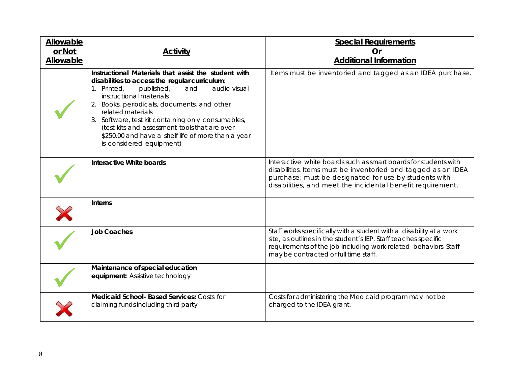| Allowable           |                                                                                                                                                                                                                                                                                                                                                                                                                                                    | <b>Special Requirements</b>                                                                                                                                                                                                                             |
|---------------------|----------------------------------------------------------------------------------------------------------------------------------------------------------------------------------------------------------------------------------------------------------------------------------------------------------------------------------------------------------------------------------------------------------------------------------------------------|---------------------------------------------------------------------------------------------------------------------------------------------------------------------------------------------------------------------------------------------------------|
| or Not<br>Allowable | <b>Activity</b>                                                                                                                                                                                                                                                                                                                                                                                                                                    | Or<br><b>Additional Information</b>                                                                                                                                                                                                                     |
|                     | Instructional Materials that assist the student with<br>disabilities to access the regular curriculum:<br>1. Printed,<br>audio-visual<br>published,<br>and<br>instructional materials<br>2. Books, periodicals, documents, and other<br>related materials<br>3. Software, test kit containing only consumables,<br>(test kits and assessment tools that are over<br>\$250.00 and have a shelf life of more than a year<br>is considered equipment) | Items must be inventoried and tagged as an IDEA purchase.                                                                                                                                                                                               |
|                     | Interactive White boards                                                                                                                                                                                                                                                                                                                                                                                                                           | Interactive white boards such as smart boards for students with<br>disabilities. Items must be inventoried and tagged as an IDEA<br>purchase; must be designated for use by students with<br>disabilities, and meet the incidental benefit requirement. |
|                     | <b>Interns</b>                                                                                                                                                                                                                                                                                                                                                                                                                                     |                                                                                                                                                                                                                                                         |
|                     | <b>Job Coaches</b>                                                                                                                                                                                                                                                                                                                                                                                                                                 | Staff works specifically with a student with a disability at a work<br>site, as outlines in the student's IEP. Staff teaches specific<br>requirements of the job including work-related behaviors. Staff<br>may be contracted or full time staff.       |
|                     | Maintenance of special education<br>equipment: Assistive technology                                                                                                                                                                                                                                                                                                                                                                                |                                                                                                                                                                                                                                                         |
|                     | Medicaid School- Based Services: Costs for<br>claiming funds including third party                                                                                                                                                                                                                                                                                                                                                                 | Costs for administering the Medicaid program may not be<br>charged to the IDEA grant.                                                                                                                                                                   |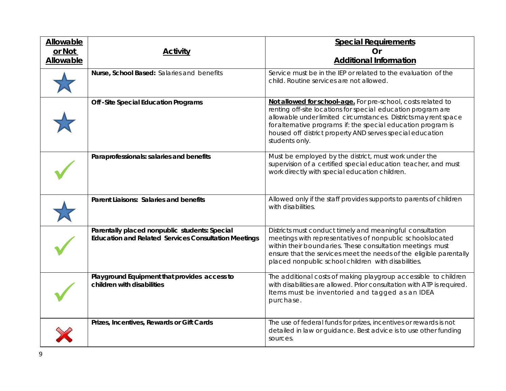| <b>Allowable</b><br>or Not<br>Allowable | <b>Activity</b>                                                                                              | <b>Special Requirements</b><br>Or<br><b>Additional Information</b>                                                                                                                                                                                                                                                                              |
|-----------------------------------------|--------------------------------------------------------------------------------------------------------------|-------------------------------------------------------------------------------------------------------------------------------------------------------------------------------------------------------------------------------------------------------------------------------------------------------------------------------------------------|
|                                         | Nurse, School Based: Salaries and benefits                                                                   | Service must be in the IEP or related to the evaluation of the<br>child. Routine services are not allowed.                                                                                                                                                                                                                                      |
|                                         | Off -Site Special Education Programs                                                                         | Not allowed for school-age. For pre-school, costs related to<br>renting off-site locations for special education program are<br>allowable under limited circumstances. Districts may rent space<br>for alternative programs if: the special education program is<br>housed off district property AND serves special education<br>students only. |
|                                         | Paraprofessionals: salaries and benefits                                                                     | Must be employed by the district, must work under the<br>supervision of a certified special education teacher, and must<br>work directly with special education children.                                                                                                                                                                       |
|                                         | Parent Liaisons: Salaries and benefits                                                                       | Allowed only if the staff provides supports to parents of children<br>with disabilities.                                                                                                                                                                                                                                                        |
|                                         | Parentally placed nonpublic students: Special<br><b>Education and Related Services Consultation Meetings</b> | Districts must conduct timely and meaningful consultation<br>meetings with representatives of nonpublic schools located<br>within their boundaries. These consultation meetings must<br>ensure that the services meet the needs of the eligible parentally<br>placed nonpublic school children with disabilities.                               |
|                                         | Playground Equipment that provides access to<br>children with disabilities                                   | The additional costs of making playgroup accessible to children<br>with disabilities are allowed. Prior consultation with ATP is required.<br>Items must be inventoried and tagged as an IDEA<br>purchase.                                                                                                                                      |
|                                         | Prizes, Incentives, Rewards or Gift Cards                                                                    | The use of federal funds for prizes, incentives or rewards is not<br>detailed in law or guidance. Best advice is to use other funding<br>sources.                                                                                                                                                                                               |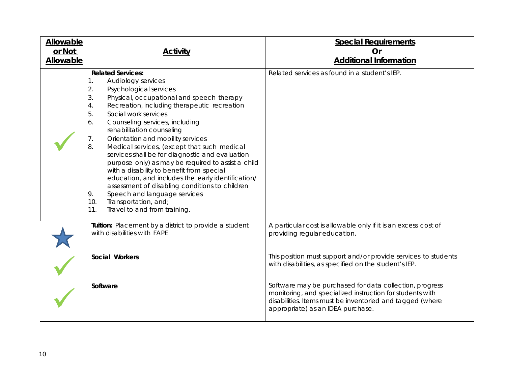| <b>Allowable</b><br>or Not<br><b>Allowable</b> | <b>Activity</b>                                                                                                                                                                                                                                                                                                                                                                                                                                                                                                                                                                                                                                                                                                                                               | <b>Special Requirements</b><br>Or<br><b>Additional Information</b>                                                                                                                                                     |
|------------------------------------------------|---------------------------------------------------------------------------------------------------------------------------------------------------------------------------------------------------------------------------------------------------------------------------------------------------------------------------------------------------------------------------------------------------------------------------------------------------------------------------------------------------------------------------------------------------------------------------------------------------------------------------------------------------------------------------------------------------------------------------------------------------------------|------------------------------------------------------------------------------------------------------------------------------------------------------------------------------------------------------------------------|
|                                                | <b>Related Services:</b><br>Audiology services<br>1.<br>Psychological services<br>2.<br>3.<br>Physical, occupational and speech therapy<br>Recreation, including therapeutic recreation<br>4.<br>Social work services<br>5.<br>Counseling services, including<br>6.<br>rehabilitation counseling<br>Orientation and mobility services<br>Medical services, (except that such medical<br>services shall be for diagnostic and evaluation<br>purpose only) as may be required to assist a child<br>with a disability to benefit from special<br>education, and includes the early identification/<br>assessment of disabling conditions to children<br>Speech and language services<br>9.<br>Transportation, and;<br>10.<br>11.<br>Travel to and from training. | Related services as found in a student's IEP.                                                                                                                                                                          |
|                                                | Tuition: Placement by a district to provide a student<br>with disabilities with FAPE                                                                                                                                                                                                                                                                                                                                                                                                                                                                                                                                                                                                                                                                          | A particular cost is allowable only if it is an excess cost of<br>providing regular education.                                                                                                                         |
|                                                | Social Workers                                                                                                                                                                                                                                                                                                                                                                                                                                                                                                                                                                                                                                                                                                                                                | This position must support and/or provide services to students<br>with disabilities, as specified on the student's IEP.                                                                                                |
|                                                | Software                                                                                                                                                                                                                                                                                                                                                                                                                                                                                                                                                                                                                                                                                                                                                      | Software may be purchased for data collection, progress<br>monitoring, and specialized instruction for students with<br>disabilities. Items must be inventoried and tagged (where<br>appropriate) as an IDEA purchase. |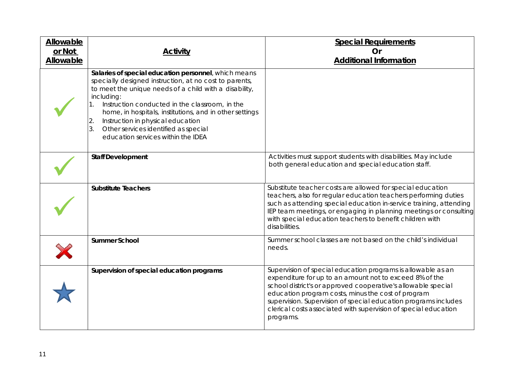| <b>Allowable</b><br>or Not<br>Allowable | <b>Activity</b>                                                                                                                                                                                                                                                                                                                                                                                                              | <b>Special Requirements</b><br><b>Or</b><br><b>Additional Information</b>                                                                                                                                                                                                                                                                                                                         |
|-----------------------------------------|------------------------------------------------------------------------------------------------------------------------------------------------------------------------------------------------------------------------------------------------------------------------------------------------------------------------------------------------------------------------------------------------------------------------------|---------------------------------------------------------------------------------------------------------------------------------------------------------------------------------------------------------------------------------------------------------------------------------------------------------------------------------------------------------------------------------------------------|
|                                         | Salaries of special education personnel, which means<br>specially designed instruction, at no cost to parents,<br>to meet the unique needs of a child with a disability,<br>including:<br>Instruction conducted in the classroom, in the<br>home, in hospitals, institutions, and in other settings<br>Instruction in physical education<br>Other services identified as special<br>3.<br>education services within the IDEA |                                                                                                                                                                                                                                                                                                                                                                                                   |
|                                         | <b>Staff Development</b>                                                                                                                                                                                                                                                                                                                                                                                                     | Activities must support students with disabilities. May include<br>both general education and special education staff.                                                                                                                                                                                                                                                                            |
|                                         | <b>Substitute Teachers</b>                                                                                                                                                                                                                                                                                                                                                                                                   | Substitute teacher costs are allowed for special education<br>teachers, also for regular education teachers performing duties<br>such as attending special education in-service training, attending<br>IEP team meetings, or engaging in planning meetings or consulting<br>with special education teachers to benefit children with<br>disabilities.                                             |
|                                         | <b>Summer School</b>                                                                                                                                                                                                                                                                                                                                                                                                         | Summer school classes are not based on the child's individual<br>needs.                                                                                                                                                                                                                                                                                                                           |
|                                         | Supervision of special education programs                                                                                                                                                                                                                                                                                                                                                                                    | Supervision of special education programs is allowable as an<br>expenditure for up to an amount not to exceed 8% of the<br>school district's or approved cooperative's allowable special<br>education program costs, minus the cost of program<br>supervision. Supervision of special education programs includes<br>clerical costs associated with supervision of special education<br>programs. |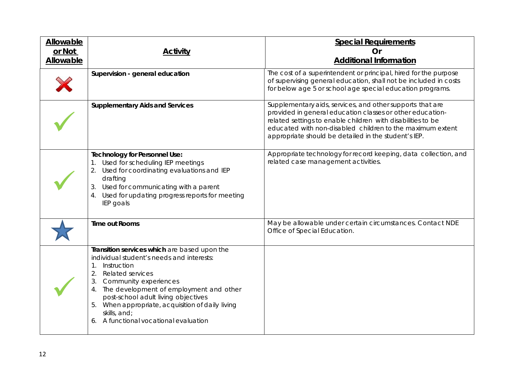| Allowable<br>or Not<br><b>Allowable</b> | <b>Activity</b>                                                                                                                                                                                                                                                                                                                                                                     | <b>Special Requirements</b><br><b>Or</b><br><b>Additional Information</b>                                                                                                                                                                                                                                  |
|-----------------------------------------|-------------------------------------------------------------------------------------------------------------------------------------------------------------------------------------------------------------------------------------------------------------------------------------------------------------------------------------------------------------------------------------|------------------------------------------------------------------------------------------------------------------------------------------------------------------------------------------------------------------------------------------------------------------------------------------------------------|
|                                         | Supervision - general education                                                                                                                                                                                                                                                                                                                                                     | The cost of a superintendent or principal, hired for the purpose<br>of supervising general education, shall not be included in costs<br>for below age 5 or school age special education programs.                                                                                                          |
|                                         | <b>Supplementary Aids and Services</b>                                                                                                                                                                                                                                                                                                                                              | Supplementary aids, services, and other supports that are<br>provided in general education classes or other education-<br>related settings to enable children with disabilities to be<br>educated with non-disabled children to the maximum extent<br>appropriate should be detailed in the student's IEP. |
|                                         | <b>Technology for Personnel Use:</b><br>Used for scheduling IEP meetings<br>Used for coordinating evaluations and IEP<br>2.<br>drafting<br>Used for communicating with a parent<br>3.<br>4. Used for updating progress reports for meeting<br>IEP goals                                                                                                                             | Appropriate technology for record keeping, data collection, and<br>related case management activities.                                                                                                                                                                                                     |
|                                         | <b>Time out Rooms</b>                                                                                                                                                                                                                                                                                                                                                               | May be allowable under certain circumstances. Contact NDE<br>Office of Special Education.                                                                                                                                                                                                                  |
|                                         | Transition services which are based upon the<br>individual student's needs and interests:<br>1.<br>Instruction<br>2.<br><b>Related services</b><br>Community experiences<br>3.<br>The development of employment and other<br>4.<br>post-school adult living objectives<br>5. When appropriate, acquisition of daily living<br>skills, and;<br>6. A functional vocational evaluation |                                                                                                                                                                                                                                                                                                            |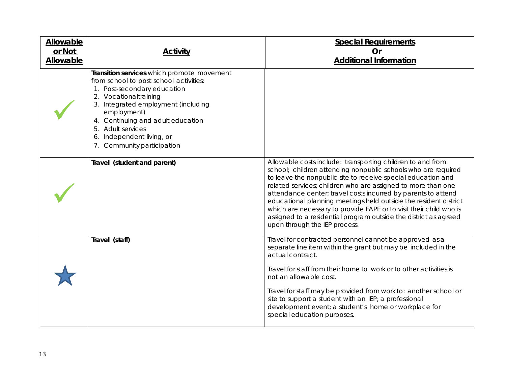| Allowable |                                                                                                                                                                                                                                                                                                                      | <b>Special Requirements</b>                                                                                                                                                                                                                                                                                                                                                                                                                                                                                                                                                 |
|-----------|----------------------------------------------------------------------------------------------------------------------------------------------------------------------------------------------------------------------------------------------------------------------------------------------------------------------|-----------------------------------------------------------------------------------------------------------------------------------------------------------------------------------------------------------------------------------------------------------------------------------------------------------------------------------------------------------------------------------------------------------------------------------------------------------------------------------------------------------------------------------------------------------------------------|
| or Not    | <b>Activity</b>                                                                                                                                                                                                                                                                                                      | <b>Or</b>                                                                                                                                                                                                                                                                                                                                                                                                                                                                                                                                                                   |
| Allowable |                                                                                                                                                                                                                                                                                                                      | <b>Additional Information</b>                                                                                                                                                                                                                                                                                                                                                                                                                                                                                                                                               |
|           | Transition services which promote movement<br>from school to post school activities:<br>1. Post-secondary education<br>2. Vocationaltraining<br>3. Integrated employment (including<br>employment)<br>4. Continuing and adult education<br>5. Adult services<br>Independent living, or<br>7. Community participation |                                                                                                                                                                                                                                                                                                                                                                                                                                                                                                                                                                             |
|           | Travel (student and parent)                                                                                                                                                                                                                                                                                          | Allowable costs include: transporting children to and from<br>school; children attending nonpublic schools who are required<br>to leave the nonpublic site to receive special education and<br>related services; children who are assigned to more than one<br>attendance center; travel costs incurred by parents to attend<br>educational planning meetings held outside the resident district<br>which are necessary to provide FAPE or to visit their child who is<br>assigned to a residential program outside the district as agreed<br>upon through the IEP process. |
|           | Travel (staff)                                                                                                                                                                                                                                                                                                       | Travel for contracted personnel cannot be approved as a<br>separate line item within the grant but may be included in the<br>actual contract.<br>Travel for staff from their home to work or to other activities is<br>not an allowable cost.<br>Travel for staff may be provided from work to: another school or<br>site to support a student with an IEP; a professional<br>development event; a student's home or workplace for<br>special education purposes.                                                                                                           |